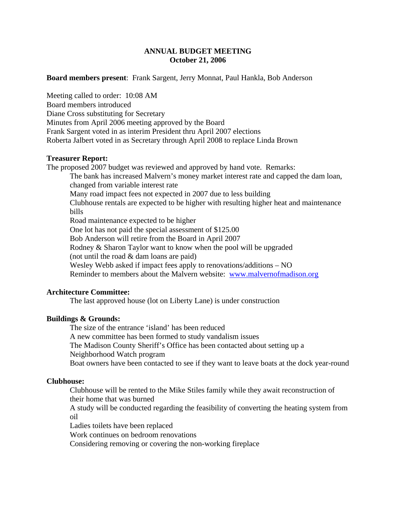# **ANNUAL BUDGET MEETING October 21, 2006**

## **Board members present**: Frank Sargent, Jerry Monnat, Paul Hankla, Bob Anderson

Meeting called to order: 10:08 AM Board members introduced Diane Cross substituting for Secretary Minutes from April 2006 meeting approved by the Board Frank Sargent voted in as interim President thru April 2007 elections Roberta Jalbert voted in as Secretary through April 2008 to replace Linda Brown

### **Treasurer Report:**

The proposed 2007 budget was reviewed and approved by hand vote. Remarks: The bank has increased Malvern's money market interest rate and capped the dam loan, changed from variable interest rate Many road impact fees not expected in 2007 due to less building Clubhouse rentals are expected to be higher with resulting higher heat and maintenance bills Road maintenance expected to be higher One lot has not paid the special assessment of \$125.00 Bob Anderson will retire from the Board in April 2007 Rodney & Sharon Taylor want to know when the pool will be upgraded (not until the road & dam loans are paid) Wesley Webb asked if impact fees apply to renovations/additions – NO Reminder to members about the Malvern website: www.malvernofmadison.org

### **Architecture Committee:**

The last approved house (lot on Liberty Lane) is under construction

# **Buildings & Grounds:**

 The size of the entrance 'island' has been reduced A new committee has been formed to study vandalism issues The Madison County Sheriff's Office has been contacted about setting up a Neighborhood Watch program Boat owners have been contacted to see if they want to leave boats at the dock year-round

#### **Clubhouse:**

Clubhouse will be rented to the Mike Stiles family while they await reconstruction of their home that was burned

A study will be conducted regarding the feasibility of converting the heating system from oil

Ladies toilets have been replaced

Work continues on bedroom renovations

Considering removing or covering the non-working fireplace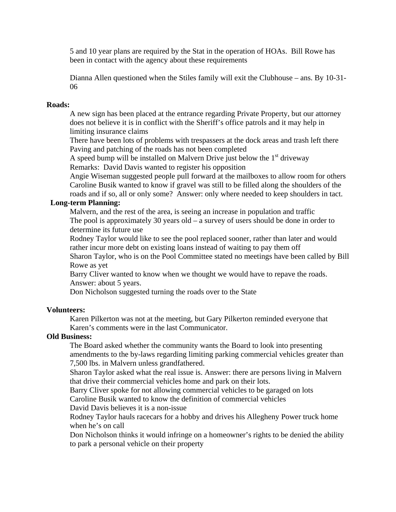5 and 10 year plans are required by the Stat in the operation of HOAs. Bill Rowe has been in contact with the agency about these requirements

Dianna Allen questioned when the Stiles family will exit the Clubhouse – ans. By 10-31- 06

## **Roads:**

A new sign has been placed at the entrance regarding Private Property, but our attorney does not believe it is in conflict with the Sheriff's office patrols and it may help in limiting insurance claims

There have been lots of problems with trespassers at the dock areas and trash left there Paving and patching of the roads has not been completed

A speed bump will be installed on Malvern Drive just below the  $1<sup>st</sup>$  driveway Remarks: David Davis wanted to register his opposition

Angie Wiseman suggested people pull forward at the mailboxes to allow room for others Caroline Busik wanted to know if gravel was still to be filled along the shoulders of the

roads and if so, all or only some? Answer: only where needed to keep shoulders in tact.  **Long-term Planning:**

Malvern, and the rest of the area, is seeing an increase in population and traffic The pool is approximately 30 years old – a survey of users should be done in order to determine its future use

Rodney Taylor would like to see the pool replaced sooner, rather than later and would rather incur more debt on existing loans instead of waiting to pay them off

Sharon Taylor, who is on the Pool Committee stated no meetings have been called by Bill Rowe as yet

Barry Cliver wanted to know when we thought we would have to repave the roads. Answer: about 5 years.

Don Nicholson suggested turning the roads over to the State

# **Volunteers:**

Karen Pilkerton was not at the meeting, but Gary Pilkerton reminded everyone that Karen's comments were in the last Communicator.

# **Old Business:**

The Board asked whether the community wants the Board to look into presenting amendments to the by-laws regarding limiting parking commercial vehicles greater than 7,500 lbs. in Malvern unless grandfathered.

Sharon Taylor asked what the real issue is. Answer: there are persons living in Malvern that drive their commercial vehicles home and park on their lots.

Barry Cliver spoke for not allowing commercial vehicles to be garaged on lots Caroline Busik wanted to know the definition of commercial vehicles

David Davis believes it is a non-issue

Rodney Taylor hauls racecars for a hobby and drives his Allegheny Power truck home when he's on call

Don Nicholson thinks it would infringe on a homeowner's rights to be denied the ability to park a personal vehicle on their property